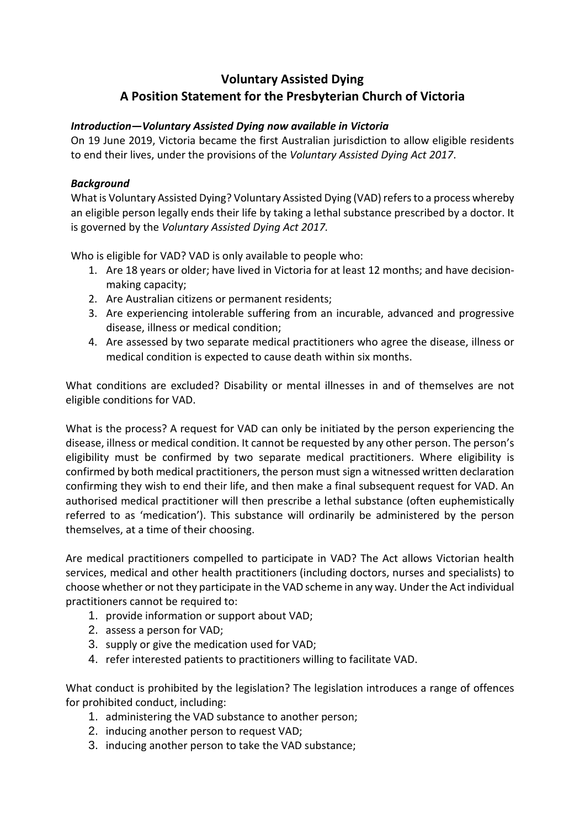# **Voluntary Assisted Dying A Position Statement for the Presbyterian Church of Victoria**

## *Introduction—Voluntary Assisted Dying now available in Victoria*

On 19 June 2019, Victoria became the first Australian jurisdiction to allow eligible residents to end their lives, under the provisions of the *Voluntary Assisted Dying Act 2017*.

#### *Background*

What is Voluntary Assisted Dying? Voluntary Assisted Dying (VAD) refers to a process whereby an eligible person legally ends their life by taking a lethal substance prescribed by a doctor. It is governed by the *Voluntary Assisted Dying Act 2017.*

Who is eligible for VAD? VAD is only available to people who:

- 1. Are 18 years or older; have lived in Victoria for at least 12 months; and have decisionmaking capacity;
- 2. Are Australian citizens or permanent residents;
- 3. Are experiencing intolerable suffering from an incurable, advanced and progressive disease, illness or medical condition;
- 4. Are assessed by two separate medical practitioners who agree the disease, illness or medical condition is expected to cause death within six months.

What conditions are excluded? Disability or mental illnesses in and of themselves are not eligible conditions for VAD.

What is the process? A request for VAD can only be initiated by the person experiencing the disease, illness or medical condition. It cannot be requested by any other person. The person's eligibility must be confirmed by two separate medical practitioners. Where eligibility is confirmed by both medical practitioners, the person must sign a witnessed written declaration confirming they wish to end their life, and then make a final subsequent request for VAD. An authorised medical practitioner will then prescribe a lethal substance (often euphemistically referred to as 'medication'). This substance will ordinarily be administered by the person themselves, at a time of their choosing.

Are medical practitioners compelled to participate in VAD? The Act allows Victorian health services, medical and other health practitioners (including doctors, nurses and specialists) to choose whether or not they participate in the VAD scheme in any way. Under the Act individual practitioners cannot be required to:

- 1. provide information or support about VAD;
- 2. assess a person for VAD;
- 3. supply or give the medication used for VAD;
- 4. refer interested patients to practitioners willing to facilitate VAD.

What conduct is prohibited by the legislation? The legislation introduces a range of offences for prohibited conduct, including:

- 1. administering the VAD substance to another person;
- 2. inducing another person to request VAD;
- 3. inducing another person to take the VAD substance;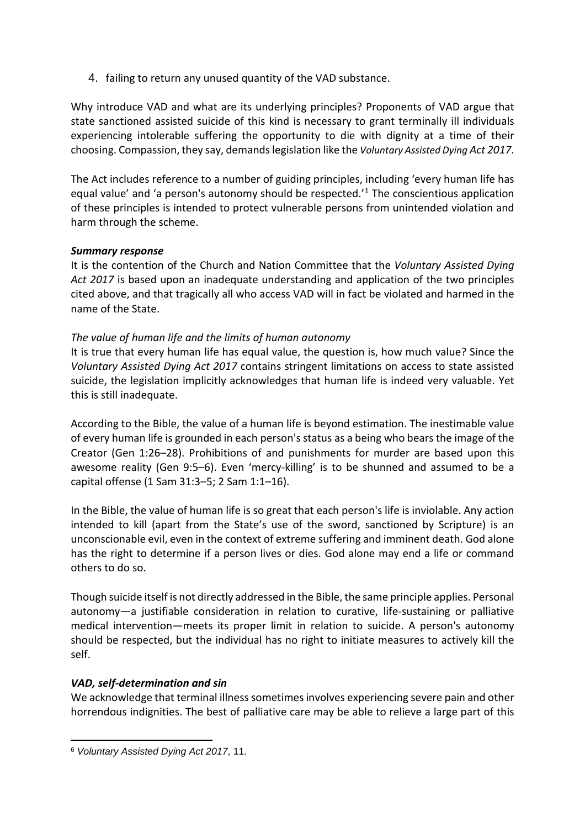4. failing to return any unused quantity of the VAD substance.

Why introduce VAD and what are its underlying principles? Proponents of VAD argue that state sanctioned assisted suicide of this kind is necessary to grant terminally ill individuals experiencing intolerable suffering the opportunity to die with dignity at a time of their choosing. Compassion, they say, demands legislation like the *Voluntary Assisted Dying Act 2017*.

The Act includes reference to a number of guiding principles, including 'every human life has equal value' and 'a person's autonomy should be respected.<sup>'[1](#page-1-0)</sup> The conscientious application of these principles is intended to protect vulnerable persons from unintended violation and harm through the scheme.

# *Summary response*

It is the contention of the Church and Nation Committee that the *Voluntary Assisted Dying Act 2017* is based upon an inadequate understanding and application of the two principles cited above, and that tragically all who access VAD will in fact be violated and harmed in the name of the State.

# *The value of human life and the limits of human autonomy*

It is true that every human life has equal value, the question is, how much value? Since the *Voluntary Assisted Dying Act 2017* contains stringent limitations on access to state assisted suicide, the legislation implicitly acknowledges that human life is indeed very valuable. Yet this is still inadequate.

According to the Bible, the value of a human life is beyond estimation. The inestimable value of every human life is grounded in each person's status as a being who bears the image of the Creator (Gen 1:26–28). Prohibitions of and punishments for murder are based upon this awesome reality (Gen 9:5–6). Even 'mercy-killing' is to be shunned and assumed to be a capital offense (1 Sam 31:3–5; 2 Sam 1:1–16).

In the Bible, the value of human life is so great that each person's life is inviolable. Any action intended to kill (apart from the State's use of the sword, sanctioned by Scripture) is an unconscionable evil, even in the context of extreme suffering and imminent death. God alone has the right to determine if a person lives or dies. God alone may end a life or command others to do so.

Though suicide itself is not directly addressed in the Bible, the same principle applies. Personal autonomy—a justifiable consideration in relation to curative, life-sustaining or palliative medical intervention—meets its proper limit in relation to suicide. A person's autonomy should be respected, but the individual has no right to initiate measures to actively kill the self.

# *VAD, self-determination and sin*

We acknowledge that terminal illness sometimes involves experiencing severe pain and other horrendous indignities. The best of palliative care may be able to relieve a large part of this

<span id="page-1-0"></span> $\overline{a}$ <sup>6</sup> *Voluntary Assisted Dying Act 2017*, 11.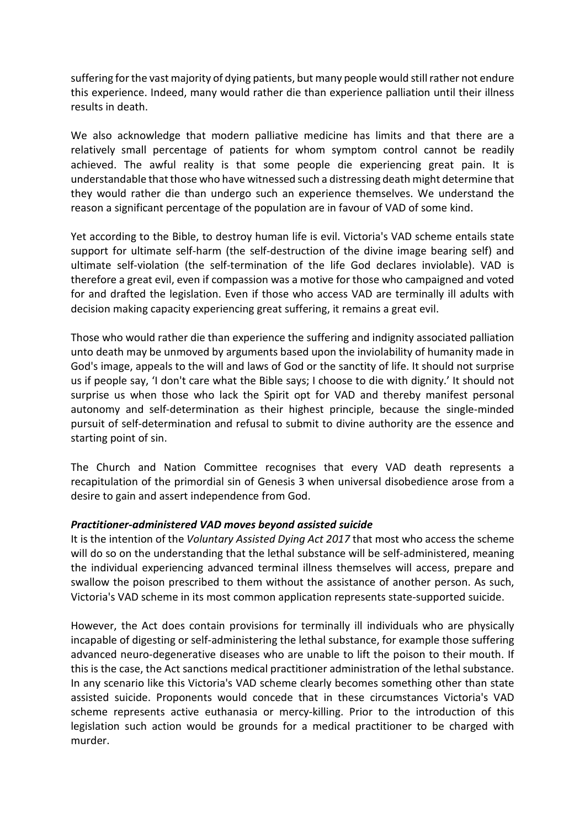suffering for the vast majority of dying patients, but many people would still rather not endure this experience. Indeed, many would rather die than experience palliation until their illness results in death.

We also acknowledge that modern palliative medicine has limits and that there are a relatively small percentage of patients for whom symptom control cannot be readily achieved. The awful reality is that some people die experiencing great pain. It is understandable that those who have witnessed such a distressing death might determine that they would rather die than undergo such an experience themselves. We understand the reason a significant percentage of the population are in favour of VAD of some kind.

Yet according to the Bible, to destroy human life is evil. Victoria's VAD scheme entails state support for ultimate self-harm (the self-destruction of the divine image bearing self) and ultimate self-violation (the self-termination of the life God declares inviolable). VAD is therefore a great evil, even if compassion was a motive for those who campaigned and voted for and drafted the legislation. Even if those who access VAD are terminally ill adults with decision making capacity experiencing great suffering, it remains a great evil.

Those who would rather die than experience the suffering and indignity associated palliation unto death may be unmoved by arguments based upon the inviolability of humanity made in God's image, appeals to the will and laws of God or the sanctity of life. It should not surprise us if people say, 'I don't care what the Bible says; I choose to die with dignity.' It should not surprise us when those who lack the Spirit opt for VAD and thereby manifest personal autonomy and self-determination as their highest principle, because the single-minded pursuit of self-determination and refusal to submit to divine authority are the essence and starting point of sin.

The Church and Nation Committee recognises that every VAD death represents a recapitulation of the primordial sin of Genesis 3 when universal disobedience arose from a desire to gain and assert independence from God.

#### *Practitioner-administered VAD moves beyond assisted suicide*

It is the intention of the *Voluntary Assisted Dying Act 2017* that most who access the scheme will do so on the understanding that the lethal substance will be self-administered, meaning the individual experiencing advanced terminal illness themselves will access, prepare and swallow the poison prescribed to them without the assistance of another person. As such, Victoria's VAD scheme in its most common application represents state-supported suicide.

However, the Act does contain provisions for terminally ill individuals who are physically incapable of digesting or self-administering the lethal substance, for example those suffering advanced neuro-degenerative diseases who are unable to lift the poison to their mouth. If this is the case, the Act sanctions medical practitioner administration of the lethal substance. In any scenario like this Victoria's VAD scheme clearly becomes something other than state assisted suicide. Proponents would concede that in these circumstances Victoria's VAD scheme represents active euthanasia or mercy-killing. Prior to the introduction of this legislation such action would be grounds for a medical practitioner to be charged with murder.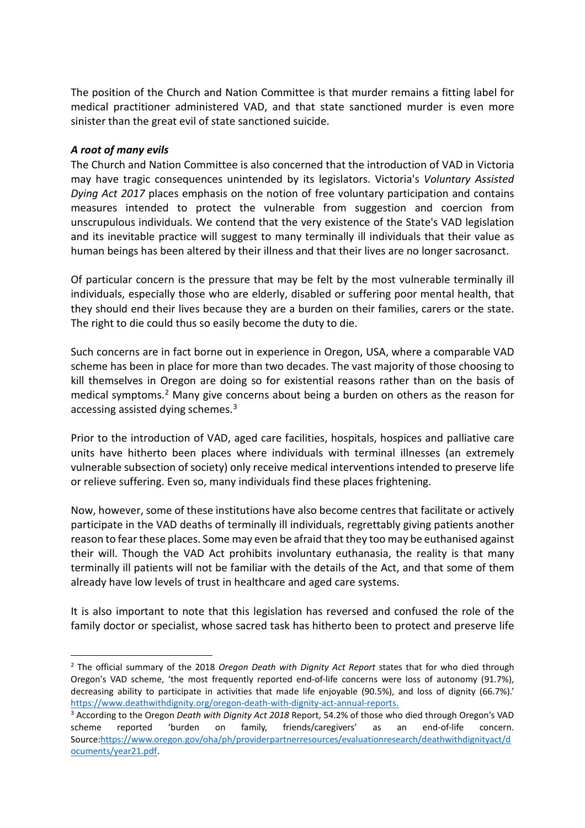The position of the Church and Nation Committee is that murder remains a fitting label for medical practitioner administered VAD, and that state sanctioned murder is even more sinister than the great evil of state sanctioned suicide.

## *A root of many evils*

The Church and Nation Committee is also concerned that the introduction of VAD in Victoria may have tragic consequences unintended by its legislators. Victoria's *Voluntary Assisted Dying Act 2017* places emphasis on the notion of free voluntary participation and contains measures intended to protect the vulnerable from suggestion and coercion from unscrupulous individuals. We contend that the very existence of the State's VAD legislation and its inevitable practice will suggest to many terminally ill individuals that their value as human beings has been altered by their illness and that their lives are no longer sacrosanct.

Of particular concern is the pressure that may be felt by the most vulnerable terminally ill individuals, especially those who are elderly, disabled or suffering poor mental health, that they should end their lives because they are a burden on their families, carers or the state. The right to die could thus so easily become the duty to die.

Such concerns are in fact borne out in experience in Oregon, USA, where a comparable VAD scheme has been in place for more than two decades. The vast majority of those choosing to kill themselves in Oregon are doing so for existential reasons rather than on the basis of medical symptoms.[2](#page-3-0) Many give concerns about being a burden on others as the reason for accessing assisted dying schemes.[3](#page-3-1)

Prior to the introduction of VAD, aged care facilities, hospitals, hospices and palliative care units have hitherto been places where individuals with terminal illnesses (an extremely vulnerable subsection of society) only receive medical interventions intended to preserve life or relieve suffering. Even so, many individuals find these places frightening.

Now, however, some of these institutions have also become centres that facilitate or actively participate in the VAD deaths of terminally ill individuals, regrettably giving patients another reason to fear these places. Some may even be afraid that they too may be euthanised against their will. Though the VAD Act prohibits involuntary euthanasia, the reality is that many terminally ill patients will not be familiar with the details of the Act, and that some of them already have low levels of trust in healthcare and aged care systems.

It is also important to note that this legislation has reversed and confused the role of the family doctor or specialist, whose sacred task has hitherto been to protect and preserve life

<span id="page-3-0"></span> <sup>2</sup> The official summary of the 2018 *Oregon Death with Dignity Act Report* states that for who died through Oregon's VAD scheme, 'the most frequently reported end-of-life concerns were loss of autonomy (91.7%), decreasing ability to participate in activities that made life enjoyable (90.5%), and loss of dignity (66.7%).' [https://www.deathwithdignity.org/oregon-death-with-dignity-act-annual-reports.](https://www.deathwithdignity.org/oregon-death-with-dignity-act-annual-reports/)

<span id="page-3-1"></span><sup>3</sup> According to the Oregon *Death with Dignity Act 2018* Report, 54.2% of those who died through Oregon's VAD scheme reported 'burden on family, friends/caregivers' as an end-of-life concern. Source[:https://www.oregon.gov/oha/ph/providerpartnerresources/evaluationresearch/deathwithdignityact/d](https://www.oregon.gov/oha/PH/PROVIDERPARTNERRESOURCES/EVALUATIONRESEARCH/DEATHWITHDIGNITYACT/Documents/year21.pdf) [ocuments/year21.pdf.](https://www.oregon.gov/oha/PH/PROVIDERPARTNERRESOURCES/EVALUATIONRESEARCH/DEATHWITHDIGNITYACT/Documents/year21.pdf)